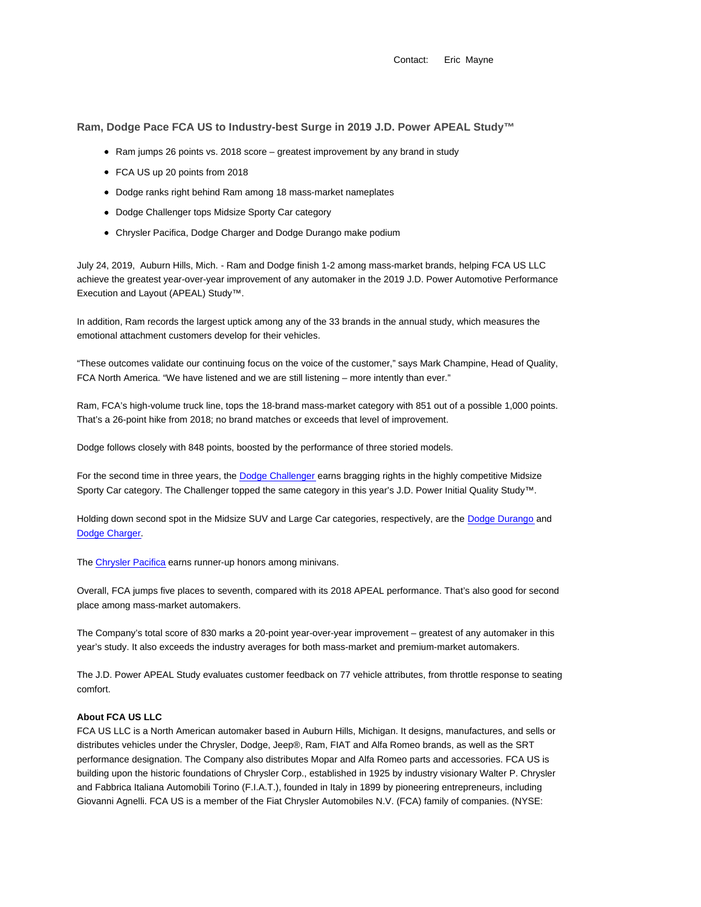Contact: Eric Mayne

**Ram, Dodge Pace FCA US to Industry-best Surge in 2019 J.D. Power APEAL Study™**

- Ram jumps 26 points vs. 2018 score greatest improvement by any brand in study
- FCA US up 20 points from 2018
- Dodge ranks right behind Ram among 18 mass-market nameplates
- Dodge Challenger tops Midsize Sporty Car category
- Chrysler Pacifica, Dodge Charger and Dodge Durango make podium

July 24, 2019, Auburn Hills, Mich. - Ram and Dodge finish 1-2 among mass-market brands, helping FCA US LLC achieve the greatest year-over-year improvement of any automaker in the 2019 J.D. Power Automotive Performance Execution and Layout (APEAL) Study™.

In addition, Ram records the largest uptick among any of the 33 brands in the annual study, which measures the emotional attachment customers develop for their vehicles.

"These outcomes validate our continuing focus on the voice of the customer," says Mark Champine, Head of Quality, FCA North America. "We have listened and we are still listening – more intently than ever."

Ram, FCA's high-volume truck line, tops the 18-brand mass-market category with 851 out of a possible 1,000 points. That's a 26-point hike from 2018; no brand matches or exceeds that level of improvement.

Dodge follows closely with 848 points, boosted by the performance of three storied models.

For the second time in three years, the Dodge Challenger earns bragging rights in the highly competitive Midsize Sporty Car category. The Challenger topped the same category in this year's J.D. Power Initial Quality Study™.

Holding down second spot in the Midsize SUV and Large Car categories, respectively, are the Dodge Durango and Dodge Charger.

The Chrysler Pacifica earns runner-up honors among minivans.

Overall, FCA jumps five places to seventh, compared with its 2018 APEAL performance. That's also good for second place among mass-market automakers.

The Company's total score of 830 marks a 20-point year-over-year improvement – greatest of any automaker in this year's study. It also exceeds the industry averages for both mass-market and premium-market automakers.

The J.D. Power APEAL Study evaluates customer feedback on 77 vehicle attributes, from throttle response to seating comfort.

## **About FCA US LLC**

FCA US LLC is a North American automaker based in Auburn Hills, Michigan. It designs, manufactures, and sells or distributes vehicles under the Chrysler, Dodge, Jeep®, Ram, FIAT and Alfa Romeo brands, as well as the SRT performance designation. The Company also distributes Mopar and Alfa Romeo parts and accessories. FCA US is building upon the historic foundations of Chrysler Corp., established in 1925 by industry visionary Walter P. Chrysler and Fabbrica Italiana Automobili Torino (F.I.A.T.), founded in Italy in 1899 by pioneering entrepreneurs, including Giovanni Agnelli. FCA US is a member of the Fiat Chrysler Automobiles N.V. (FCA) family of companies. (NYSE: